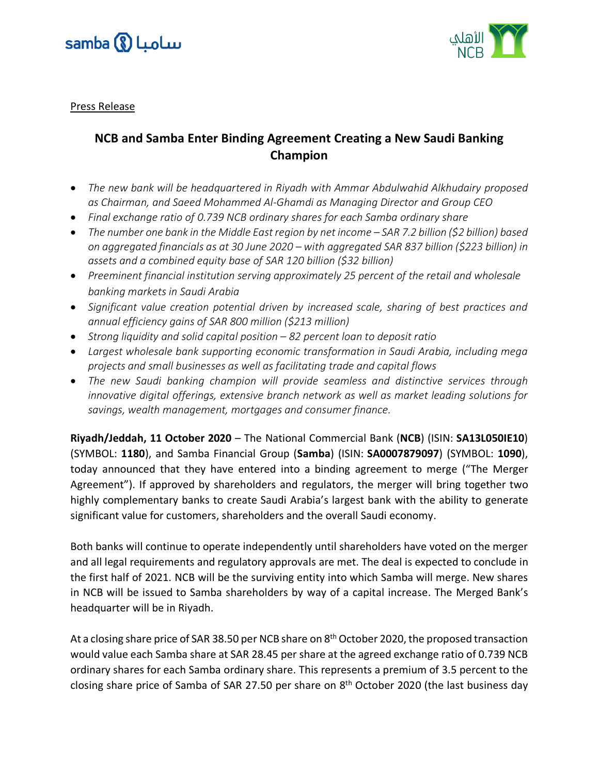



Press Release

## **NCB and Samba Enter Binding Agreement Creating a New Saudi Banking Champion**

- *The new bank will be headquartered in Riyadh with Ammar Abdulwahid Alkhudairy proposed as Chairman, and Saeed Mohammed Al-Ghamdi as Managing Director and Group CEO*
- *Final exchange ratio of 0.739 NCB ordinary shares for each Samba ordinary share*
- *The number one bank in the Middle East region by net income – SAR 7.2 billion (\$2 billion) based on aggregated financials as at 30 June 2020 – with aggregated SAR 837 billion (\$223 billion) in assets and a combined equity base of SAR 120 billion (\$32 billion)*
- *Preeminent financial institution serving approximately 25 percent of the retail and wholesale banking markets in Saudi Arabia*
- *Significant value creation potential driven by increased scale, sharing of best practices and annual efficiency gains of SAR 800 million (\$213 million)*
- *Strong liquidity and solid capital position – 82 percent loan to deposit ratio*
- *Largest wholesale bank supporting economic transformation in Saudi Arabia, including mega projects and small businesses as well as facilitating trade and capital flows*
- *The new Saudi banking champion will provide seamless and distinctive services through innovative digital offerings, extensive branch network as well as market leading solutions for savings, wealth management, mortgages and consumer finance.*

**Riyadh/Jeddah, 11 October 2020** – The National Commercial Bank (**NCB**) (ISIN: **SA13L050IE10**) (SYMBOL: **1180**), and Samba Financial Group (**Samba**) (ISIN: **SA0007879097**) (SYMBOL: **1090**), today announced that they have entered into a binding agreement to merge ("The Merger Agreement"). If approved by shareholders and regulators, the merger will bring together two highly complementary banks to create Saudi Arabia's largest bank with the ability to generate significant value for customers, shareholders and the overall Saudi economy.

Both banks will continue to operate independently until shareholders have voted on the merger and all legal requirements and regulatory approvals are met. The deal is expected to conclude in the first half of 2021. NCB will be the surviving entity into which Samba will merge. New shares in NCB will be issued to Samba shareholders by way of a capital increase. The Merged Bank's headquarter will be in Riyadh.

At a closing share price of SAR 38.50 per NCB share on 8<sup>th</sup> October 2020, the proposed transaction would value each Samba share at SAR 28.45 per share at the agreed exchange ratio of 0.739 NCB ordinary shares for each Samba ordinary share. This represents a premium of 3.5 percent to the closing share price of Samba of SAR 27.50 per share on 8<sup>th</sup> October 2020 (the last business day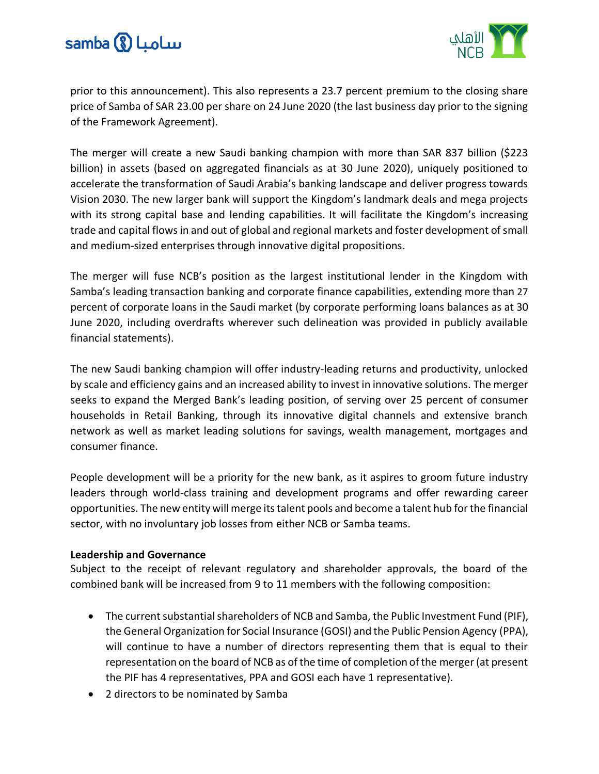



prior to this announcement). This also represents a 23.7 percent premium to the closing share price of Samba of SAR 23.00 per share on 24 June 2020 (the last business day prior to the signing of the Framework Agreement).

The merger will create a new Saudi banking champion with more than SAR 837 billion (\$223 billion) in assets (based on aggregated financials as at 30 June 2020), uniquely positioned to accelerate the transformation of Saudi Arabia's banking landscape and deliver progress towards Vision 2030. The new larger bank will support the Kingdom's landmark deals and mega projects with its strong capital base and lending capabilities. It will facilitate the Kingdom's increasing trade and capital flows in and out of global and regional markets and foster development of small and medium-sized enterprises through innovative digital propositions.

The merger will fuse NCB's position as the largest institutional lender in the Kingdom with Samba's leading transaction banking and corporate finance capabilities, extending more than 27 percent of corporate loans in the Saudi market (by corporate performing loans balances as at 30 June 2020, including overdrafts wherever such delineation was provided in publicly available financial statements).

The new Saudi banking champion will offer industry-leading returns and productivity, unlocked by scale and efficiency gains and an increased ability to invest in innovative solutions. The merger seeks to expand the Merged Bank's leading position, of serving over 25 percent of consumer households in Retail Banking, through its innovative digital channels and extensive branch network as well as market leading solutions for savings, wealth management, mortgages and consumer finance.

People development will be a priority for the new bank, as it aspires to groom future industry leaders through world-class training and development programs and offer rewarding career opportunities. The new entity will merge its talent pools and become a talent hub for the financial sector, with no involuntary job losses from either NCB or Samba teams.

#### **Leadership and Governance**

Subject to the receipt of relevant regulatory and shareholder approvals, the board of the combined bank will be increased from 9 to 11 members with the following composition:

- The current substantial shareholders of NCB and Samba, the Public Investment Fund (PIF), the General Organization for Social Insurance (GOSI) and the Public Pension Agency (PPA), will continue to have a number of directors representing them that is equal to their representation on the board of NCB as of the time of completion of the merger (at present the PIF has 4 representatives, PPA and GOSI each have 1 representative).
- 2 directors to be nominated by Samba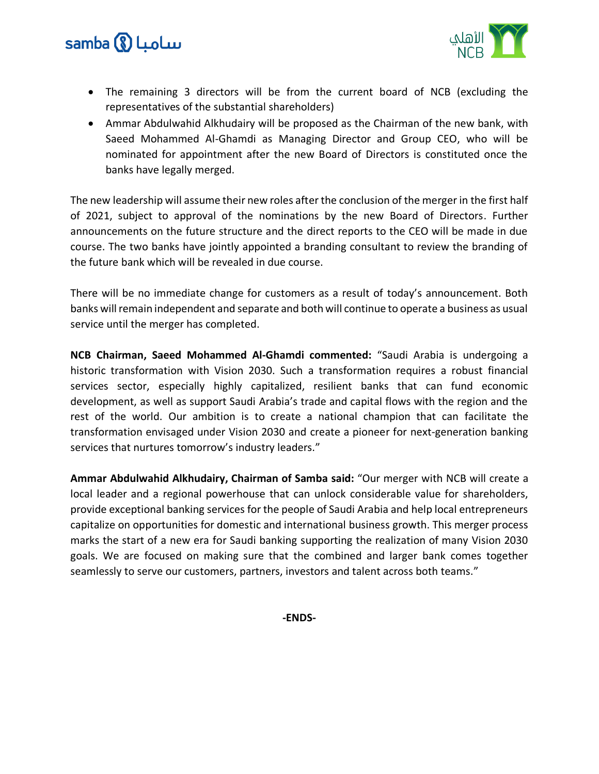# samba (8) LuoLw



- The remaining 3 directors will be from the current board of NCB (excluding the representatives of the substantial shareholders)
- Ammar Abdulwahid Alkhudairy will be proposed as the Chairman of the new bank, with Saeed Mohammed Al-Ghamdi as Managing Director and Group CEO, who will be nominated for appointment after the new Board of Directors is constituted once the banks have legally merged.

The new leadership will assume their new roles after the conclusion of the merger in the first half of 2021, subject to approval of the nominations by the new Board of Directors. Further announcements on the future structure and the direct reports to the CEO will be made in due course. The two banks have jointly appointed a branding consultant to review the branding of the future bank which will be revealed in due course.

There will be no immediate change for customers as a result of today's announcement. Both banks will remain independent and separate and both will continue to operate a business as usual service until the merger has completed.

**NCB Chairman, Saeed Mohammed Al-Ghamdi commented:** "Saudi Arabia is undergoing a historic transformation with Vision 2030. Such a transformation requires a robust financial services sector, especially highly capitalized, resilient banks that can fund economic development, as well as support Saudi Arabia's trade and capital flows with the region and the rest of the world. Our ambition is to create a national champion that can facilitate the transformation envisaged under Vision 2030 and create a pioneer for next-generation banking services that nurtures tomorrow's industry leaders."

**Ammar Abdulwahid Alkhudairy, Chairman of Samba said:** "Our merger with NCB will create a local leader and a regional powerhouse that can unlock considerable value for shareholders, provide exceptional banking services for the people of Saudi Arabia and help local entrepreneurs capitalize on opportunities for domestic and international business growth. This merger process marks the start of a new era for Saudi banking supporting the realization of many Vision 2030 goals. We are focused on making sure that the combined and larger bank comes together seamlessly to serve our customers, partners, investors and talent across both teams."

**-ENDS-**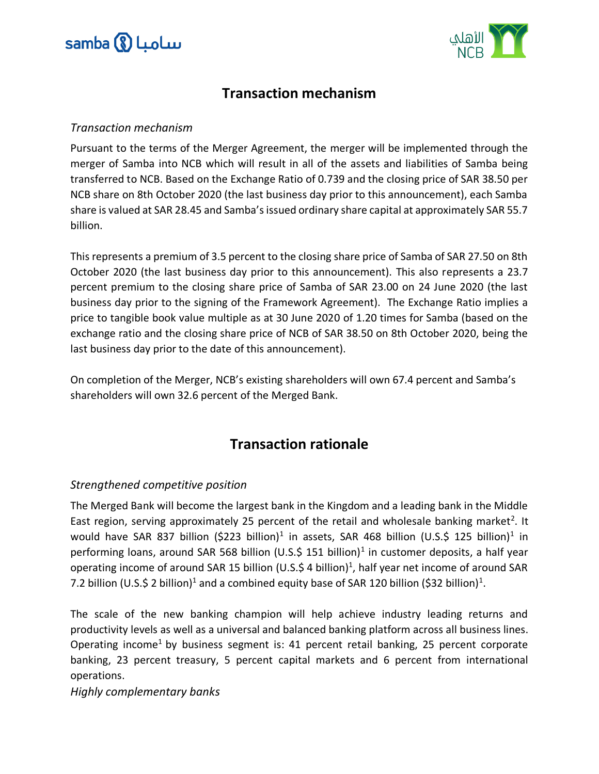



# **Transaction mechanism**

#### *Transaction mechanism*

Pursuant to the terms of the Merger Agreement, the merger will be implemented through the merger of Samba into NCB which will result in all of the assets and liabilities of Samba being transferred to NCB. Based on the Exchange Ratio of 0.739 and the closing price of SAR 38.50 per NCB share on 8th October 2020 (the last business day prior to this announcement), each Samba share is valued at SAR 28.45 and Samba's issued ordinary share capital at approximately SAR 55.7 billion.

This represents a premium of 3.5 percent to the closing share price of Samba of SAR 27.50 on 8th October 2020 (the last business day prior to this announcement). This also represents a 23.7 percent premium to the closing share price of Samba of SAR 23.00 on 24 June 2020 (the last business day prior to the signing of the Framework Agreement). The Exchange Ratio implies a price to tangible book value multiple as at 30 June 2020 of 1.20 times for Samba (based on the exchange ratio and the closing share price of NCB of SAR 38.50 on 8th October 2020, being the last business day prior to the date of this announcement).

On completion of the Merger, NCB's existing shareholders will own 67.4 percent and Samba's shareholders will own 32.6 percent of the Merged Bank.

# **Transaction rationale**

## *Strengthened competitive position*

The Merged Bank will become the largest bank in the Kingdom and a leading bank in the Middle East region, serving approximately 25 percent of the retail and wholesale banking market<sup>2</sup>. It would have SAR 837 billion (\$223 billion)<sup>1</sup> in assets, SAR 468 billion (U.S.\$ 125 billion)<sup>1</sup> in performing loans, around SAR 568 billion (U.S.\$ 151 billion)<sup>1</sup> in customer deposits, a half year operating income of around SAR 15 billion (U.S.\$ 4 billion)<sup>1</sup>, half year net income of around SAR 7.2 billion (U.S.\$ 2 billion)<sup>1</sup> and a combined equity base of SAR 120 billion (\$32 billion)<sup>1</sup>.

The scale of the new banking champion will help achieve industry leading returns and productivity levels as well as a universal and balanced banking platform across all business lines. Operating income<sup>1</sup> by business segment is: 41 percent retail banking, 25 percent corporate banking, 23 percent treasury, 5 percent capital markets and 6 percent from international operations.

*Highly complementary banks*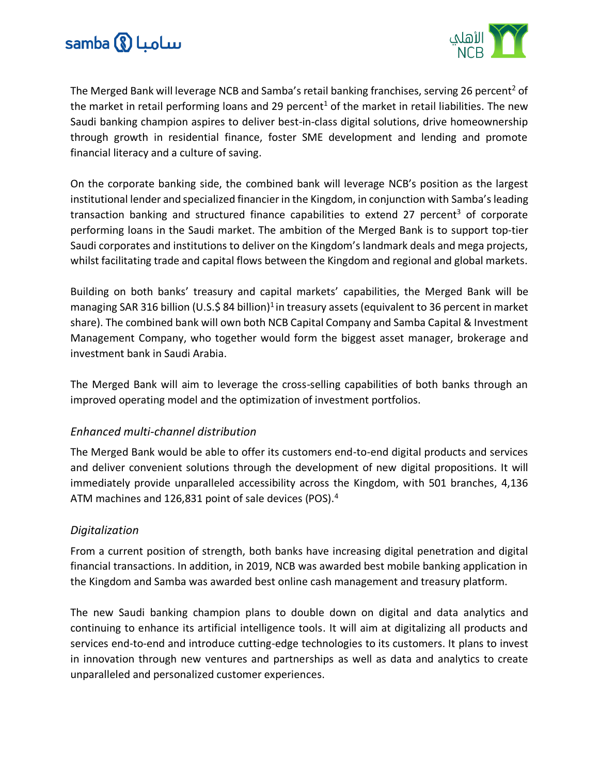



The Merged Bank will leverage NCB and Samba's retail banking franchises, serving 26 percent<sup>2</sup> of the market in retail performing loans and 29 percent<sup>1</sup> of the market in retail liabilities. The new Saudi banking champion aspires to deliver best-in-class digital solutions, drive homeownership through growth in residential finance, foster SME development and lending and promote financial literacy and a culture of saving.

On the corporate banking side, the combined bank will leverage NCB's position as the largest institutional lender and specialized financier in the Kingdom, in conjunction with Samba's leading transaction banking and structured finance capabilities to extend 27 percent<sup>3</sup> of corporate performing loans in the Saudi market. The ambition of the Merged Bank is to support top-tier Saudi corporates and institutions to deliver on the Kingdom's landmark deals and mega projects, whilst facilitating trade and capital flows between the Kingdom and regional and global markets.

Building on both banks' treasury and capital markets' capabilities, the Merged Bank will be managing SAR 316 billion (U.S.\$ 84 billion)<sup>1</sup> in treasury assets (equivalent to 36 percent in market share). The combined bank will own both NCB Capital Company and Samba Capital & Investment Management Company, who together would form the biggest asset manager, brokerage and investment bank in Saudi Arabia.

The Merged Bank will aim to leverage the cross-selling capabilities of both banks through an improved operating model and the optimization of investment portfolios.

## *Enhanced multi-channel distribution*

The Merged Bank would be able to offer its customers end-to-end digital products and services and deliver convenient solutions through the development of new digital propositions. It will immediately provide unparalleled accessibility across the Kingdom, with 501 branches, 4,136 ATM machines and 126,831 point of sale devices (POS).<sup>4</sup>

## *Digitalization*

From a current position of strength, both banks have increasing digital penetration and digital financial transactions. In addition, in 2019, NCB was awarded best mobile banking application in the Kingdom and Samba was awarded best online cash management and treasury platform.

The new Saudi banking champion plans to double down on digital and data analytics and continuing to enhance its artificial intelligence tools. It will aim at digitalizing all products and services end-to-end and introduce cutting-edge technologies to its customers. It plans to invest in innovation through new ventures and partnerships as well as data and analytics to create unparalleled and personalized customer experiences.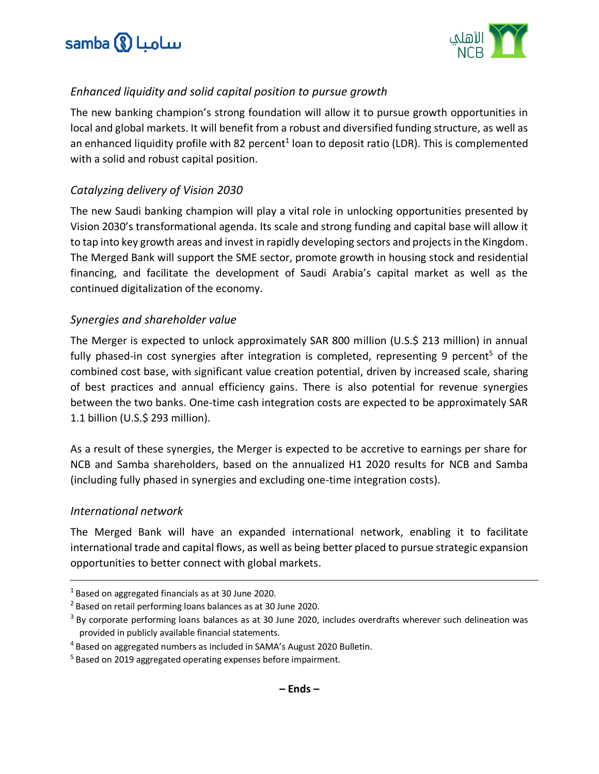



## *Enhanced liquidity and solid capital position to pursue growth*

The new banking champion's strong foundation will allow it to pursue growth opportunities in local and global markets. It will benefit from a robust and diversified funding structure, as well as an enhanced liquidity profile with 82 percent<sup>1</sup> loan to deposit ratio (LDR). This is complemented with a solid and robust capital position.

## *Catalyzing delivery of Vision 2030*

The new Saudi banking champion will play a vital role in unlocking opportunities presented by Vision 2030's transformational agenda. Its scale and strong funding and capital base will allow it to tap into key growth areas and invest in rapidly developing sectors and projects in the Kingdom. The Merged Bank will support the SME sector, promote growth in housing stock and residential financing, and facilitate the development of Saudi Arabia's capital market as well as the continued digitalization of the economy.

## *Synergies and shareholder value*

The Merger is expected to unlock approximately SAR 800 million (U.S.\$ 213 million) in annual fully phased-in cost synergies after integration is completed, representing 9 percent<sup>5</sup> of the combined cost base, with significant value creation potential, driven by increased scale, sharing of best practices and annual efficiency gains. There is also potential for revenue synergies between the two banks. One-time cash integration costs are expected to be approximately SAR 1.1 billion (U.S.\$ 293 million).

As a result of these synergies, the Merger is expected to be accretive to earnings per share for NCB and Samba shareholders, based on the annualized H1 2020 results for NCB and Samba (including fully phased in synergies and excluding one-time integration costs).

## *International network*

The Merged Bank will have an expanded international network, enabling it to facilitate international trade and capital flows, as well as being better placed to pursue strategic expansion opportunities to better connect with global markets.

<sup>1</sup> Based on aggregated financials as at 30 June 2020.

<sup>2</sup> Based on retail performing loans balances as at 30 June 2020.

<sup>&</sup>lt;sup>3</sup> By corporate performing loans balances as at 30 June 2020, includes overdrafts wherever such delineation was provided in publicly available financial statements.

<sup>4</sup> Based on aggregated numbers as included in SAMA's August 2020 Bulletin.

<sup>&</sup>lt;sup>5</sup> Based on 2019 aggregated operating expenses before impairment.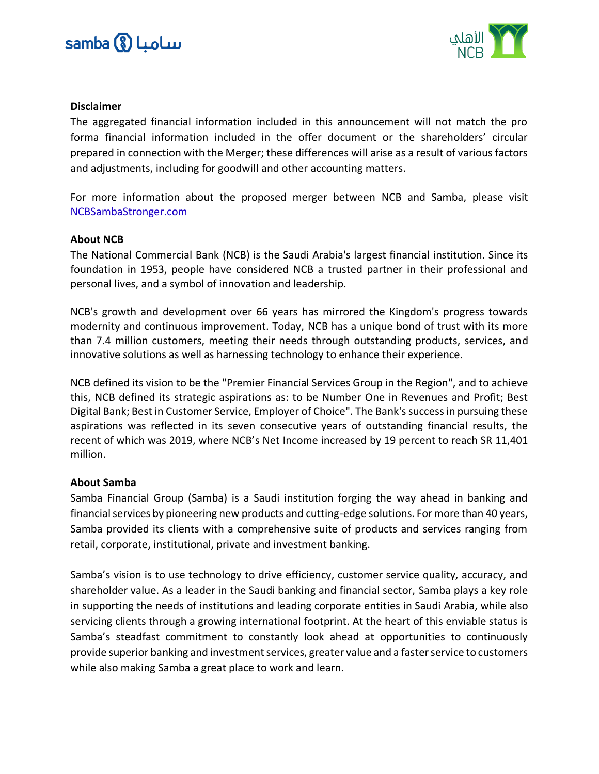



#### **Disclaimer**

The aggregated financial information included in this announcement will not match the pro forma financial information included in the offer document or the shareholders' circular prepared in connection with the Merger; these differences will arise as a result of various factors and adjustments, including for goodwill and other accounting matters.

For more information about the proposed merger between NCB and Samba, please visit NCBSambaStronger.com

#### **About NCB**

The National Commercial Bank (NCB) is the Saudi Arabia's largest financial institution. Since its foundation in 1953, people have considered NCB a trusted partner in their professional and personal lives, and a symbol of innovation and leadership.

NCB's growth and development over 66 years has mirrored the Kingdom's progress towards modernity and continuous improvement. Today, NCB has a unique bond of trust with its more than 7.4 million customers, meeting their needs through outstanding products, services, and innovative solutions as well as harnessing technology to enhance their experience.

NCB defined its vision to be the "Premier Financial Services Group in the Region", and to achieve this, NCB defined its strategic aspirations as: to be Number One in Revenues and Profit; Best Digital Bank; Best in Customer Service, Employer of Choice". The Bank's success in pursuing these aspirations was reflected in its seven consecutive years of outstanding financial results, the recent of which was 2019, where NCB's Net Income increased by 19 percent to reach SR 11,401 million.

#### **About Samba**

Samba Financial Group (Samba) is a Saudi institution forging the way ahead in banking and financial services by pioneering new products and cutting-edge solutions. For more than 40 years, Samba provided its clients with a comprehensive suite of products and services ranging from retail, corporate, institutional, private and investment banking.

Samba's vision is to use technology to drive efficiency, customer service quality, accuracy, and shareholder value. As a leader in the Saudi banking and financial sector, Samba plays a key role in supporting the needs of institutions and leading corporate entities in Saudi Arabia, while also servicing clients through a growing international footprint. At the heart of this enviable status is Samba's steadfast commitment to constantly look ahead at opportunities to continuously provide superior banking and investment services, greater value and a faster service to customers while also making Samba a great place to work and learn.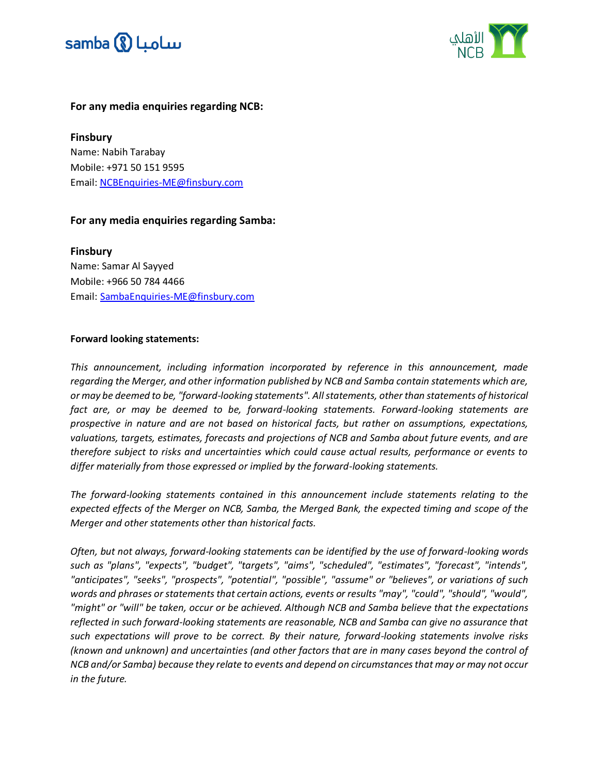



#### **For any media enquiries regarding NCB:**

**Finsbury** Name: Nabih Tarabay Mobile: +971 50 151 9595 Email: [NCBEnquiries-ME@finsbury.com](mailto:NCBEnquiries-ME@finsbury.com)

#### **For any media enquiries regarding Samba:**

**Finsbury** Name: Samar Al Sayyed Mobile: +966 50 784 4466 Email: [SambaEnquiries-ME@finsbury.com](mailto:SambaEnquiries-ME@finsbury.com)

#### **Forward looking statements:**

*This announcement, including information incorporated by reference in this announcement, made regarding the Merger, and other information published by NCB and Samba contain statements which are, or may be deemed to be, "forward-looking statements". All statements, other than statements of historical fact are, or may be deemed to be, forward-looking statements. Forward-looking statements are prospective in nature and are not based on historical facts, but rather on assumptions, expectations, valuations, targets, estimates, forecasts and projections of NCB and Samba about future events, and are therefore subject to risks and uncertainties which could cause actual results, performance or events to differ materially from those expressed or implied by the forward-looking statements.*

*The forward-looking statements contained in this announcement include statements relating to the expected effects of the Merger on NCB, Samba, the Merged Bank, the expected timing and scope of the Merger and other statements other than historical facts.*

*Often, but not always, forward-looking statements can be identified by the use of forward-looking words such as "plans", "expects", "budget", "targets", "aims", "scheduled", "estimates", "forecast", "intends", "anticipates", "seeks", "prospects", "potential", "possible", "assume" or "believes", or variations of such words and phrases or statements that certain actions, events or results "may", "could", "should", "would", "might" or "will" be taken, occur or be achieved. Although NCB and Samba believe that the expectations reflected in such forward-looking statements are reasonable, NCB and Samba can give no assurance that such expectations will prove to be correct. By their nature, forward-looking statements involve risks (known and unknown) and uncertainties (and other factors that are in many cases beyond the control of NCB and/or Samba) because they relate to events and depend on circumstances that may or may not occur in the future.*